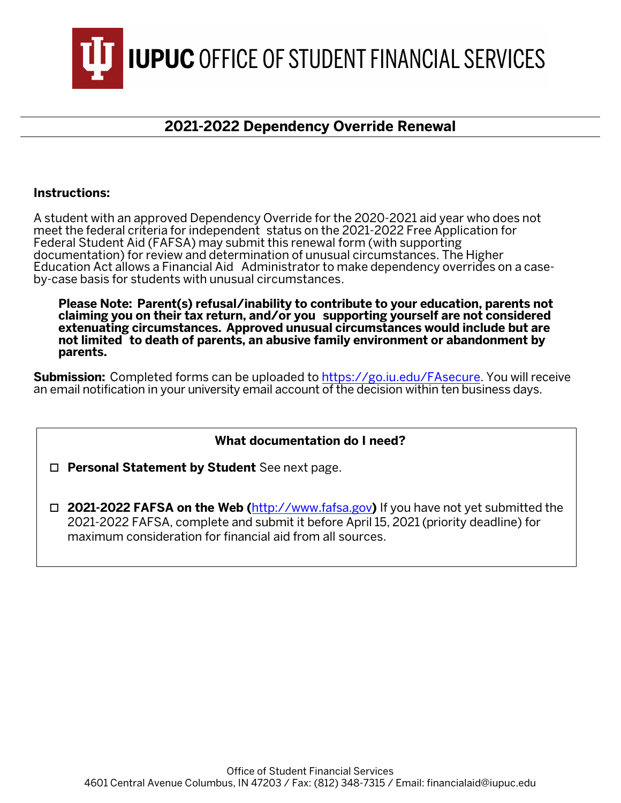

## **2021-2022 Dependency Override Renewal**

## **Instructions:**

A student with an approved Dependency Override for the 2020-2021 aid year who does not meet the federal criteria for independent status on the 2021-2022 Free Application for Federal Student Aid (FAFSA) may submit this renewal form (with supporting documentation) for review and determination of unusual circumstances. The Higher Education Act allows a Financial Aid Administrator to make dependency overrides on a case- by-case basis for students with unusual circumstances.

**Please Note: Parent(s) refusal/inability to contribute to your education, parents not claiming you on their tax return, and/or you supporting yourself are not considered extenuating circumstances. Approved unusual circumstances would include but are not limited to death of parents, an abusive family environment or abandonment by parents.**

**Submission:** Completed forms can be uploaded to [https://g](https://go.iu.edu/fasecure)o.iu.edu/FAsecure. You will receive an email notification in your university email account of the decision within ten business days.

## **What documentation do I need?**

**Personal Statement by Student** See next page.

 **2021-2022 FAFSA on the Web (**[http://www.fafsa.gov](http://www.fafsa.ed.gov/)**)** If you have not yet submitted the 2021-2022 FAFSA, complete and submit it before April 15, 2021 (priority deadline) for maximum consideration for financial aid from all sources.